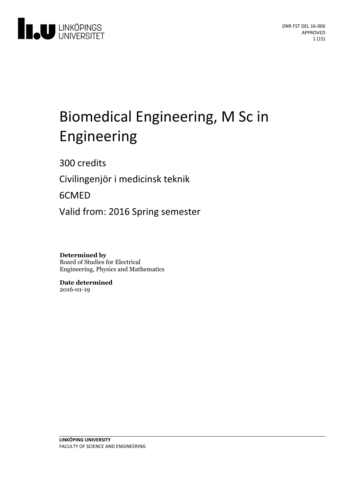

# Biomedical Engineering, M Sc in Engineering

300 credits

Civilingenjör i medicinsk teknik

6CMED

Valid from: 2016 Spring semester

**Determined by** Board of Studies for Electrical Engineering, Physics and Mathematics

**Date determined** 2016-01-19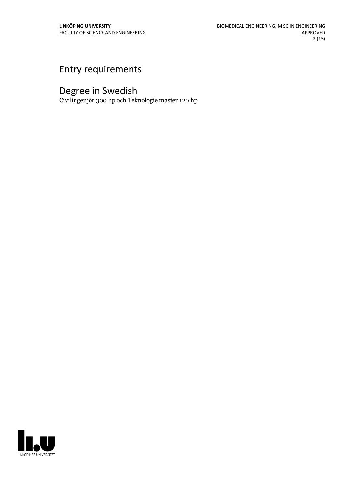# Entry requirements

# Degree in Swedish

Civilingenjör 300 hp och Teknologie master 120 hp

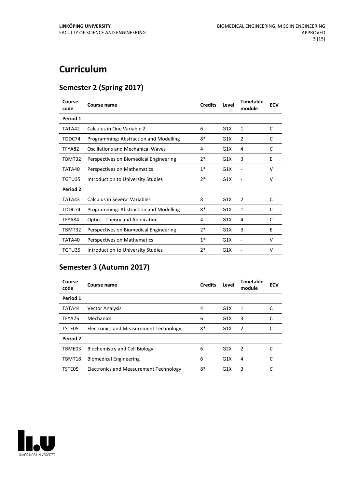# **Curriculum**

# **Semester 2 (Spring 2017)**

| Course<br>code  | Course name                            | <b>Credits</b> | Level | Timetable<br>module | <b>ECV</b> |
|-----------------|----------------------------------------|----------------|-------|---------------------|------------|
| Period 1        |                                        |                |       |                     |            |
| TATA42          | Calculus in One Variable 2             | 6              | G1X   | 1                   | C          |
| TDDC74          | Programming: Abstraction and Modelling | $8*$           | G1X   | $\overline{2}$      | C          |
| TFYA82          | Oscillations and Mechanical Waves      | 4              | G1X   | 4                   | C          |
| TBMT32          | Perspectives on Biomedical Engineering | $2*$           | G1X   | 3                   | E          |
| TATA40          | Perspectives on Mathematics            | $1^*$          | G1X   |                     | V          |
| TGTU35          | Introduction to University Studies     | $2*$           | G1X   |                     | v          |
| <b>Period 2</b> |                                        |                |       |                     |            |
| TATA43          | <b>Calculus in Several Variables</b>   | 8              | G1X   | 2                   | C          |
| TDDC74          | Programming: Abstraction and Modelling | 8*             | G1X   | 1                   | C          |
| TFYA84          | <b>Optics - Theory and Application</b> | 4              | G1X   | 4                   | C          |
| TBMT32          | Perspectives on Biomedical Engineering | $2*$           | G1X   | 3                   | E          |
| TATA40          | Perspectives on Mathematics            | $1*$           | G1X   |                     | v          |
| TGTU35          | Introduction to University Studies     | $2*$           | G1X   |                     | v          |

# **Semester 3 (Autumn 2017)**

| Course<br>code | Course name                            | <b>Credits</b> | Level            | <b>Timetable</b><br>module | <b>ECV</b> |
|----------------|----------------------------------------|----------------|------------------|----------------------------|------------|
| Period 1       |                                        |                |                  |                            |            |
| TATA44         | <b>Vector Analysis</b>                 | 4              | G1X              | 1                          |            |
| TFYA76         | Mechanics                              | 6              | G1X              | 3                          |            |
| TSTE05         | Electronics and Measurement Technology | 8*             | G1X              | 2                          |            |
| Period 2       |                                        |                |                  |                            |            |
| TBME03         | Biochemistry and Cell Biology          | 6              | G2X              | 2                          |            |
| TBMT18         | <b>Biomedical Engineering</b>          | 6              | G1X              | 4                          |            |
| TSTE05         | Electronics and Measurement Technology | 8*             | G <sub>1</sub> X | 3                          |            |

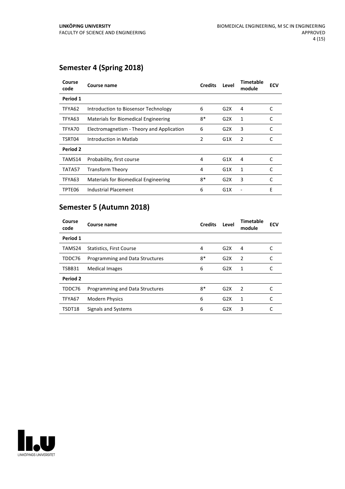# **Semester 4 (Spring 2018)**

| Course<br>code | Course name                               | <b>Credits</b> | Level | Timetable<br>module | <b>ECV</b> |
|----------------|-------------------------------------------|----------------|-------|---------------------|------------|
| Period 1       |                                           |                |       |                     |            |
| TFYA62         | Introduction to Biosensor Technology      | 6              | G2X   | 4                   | C          |
| TFYA63         | Materials for Biomedical Engineering      | $8*$           | G2X   | 1                   | C          |
| TFYA70         | Electromagnetism - Theory and Application | 6              | G2X   | 3                   | C          |
| TSRT04         | Introduction in Matlab                    | 2              | G1X   | 2                   | C          |
| Period 2       |                                           |                |       |                     |            |
| TAMS14         | Probability, first course                 | 4              | G1X   | 4                   | C          |
| TATA57         | <b>Transform Theory</b>                   | 4              | G1X   | 1                   | C          |
| TFYA63         | Materials for Biomedical Engineering      | 8*             | G2X   | 3                   | C          |
| TPTE06         | Industrial Placement                      | 6              | G1X   |                     | E          |

# **Semester 5 (Autumn 2018)**

| Course<br>code | Course name                     | <b>Credits</b> | Level | <b>Timetable</b><br>module | <b>ECV</b> |
|----------------|---------------------------------|----------------|-------|----------------------------|------------|
| Period 1       |                                 |                |       |                            |            |
| TAMS24         | <b>Statistics, First Course</b> | 4              | G2X   | 4                          |            |
| TDDC76         | Programming and Data Structures | $8*$           | G2X   | 2                          |            |
| TSBB31         | <b>Medical Images</b>           | 6              | G2X   | 1                          | C          |
| Period 2       |                                 |                |       |                            |            |
| TDDC76         | Programming and Data Structures | $8*$           | G2X   | $\overline{2}$             |            |
| TFYA67         | <b>Modern Physics</b>           | 6              | G2X   | 1                          |            |
| TSDT18         | Signals and Systems             | 6              | G2X   | 3                          |            |

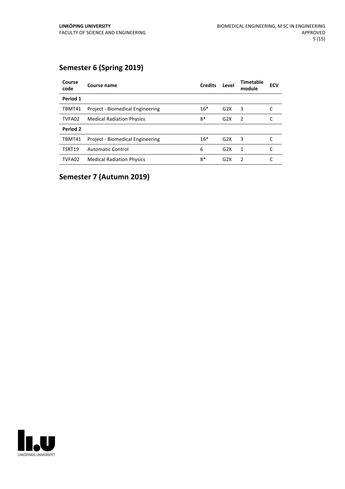# **Semester 6 (Spring 2019)**

| Course<br>code | Course name                      | <b>Credits</b> | Level            | <b>Timetable</b><br>module | <b>ECV</b> |
|----------------|----------------------------------|----------------|------------------|----------------------------|------------|
| Period 1       |                                  |                |                  |                            |            |
| TBMT41         | Project - Biomedical Engineering | $16*$          | G2X              | 3                          |            |
| TVFA02         | <b>Medical Radiation Physics</b> | $8*$           | G2X              | $\overline{2}$             |            |
| Period 2       |                                  |                |                  |                            |            |
| TBMT41         | Project - Biomedical Engineering | $16*$          | G2X              | 3                          |            |
| <b>TSRT19</b>  | <b>Automatic Control</b>         | 6              | G2X              | 1                          |            |
| TVFA02         | <b>Medical Radiation Physics</b> | $8*$           | G <sub>2</sub> X | $\mathcal{P}$              |            |

**Semester 7 (Autumn 2019)**

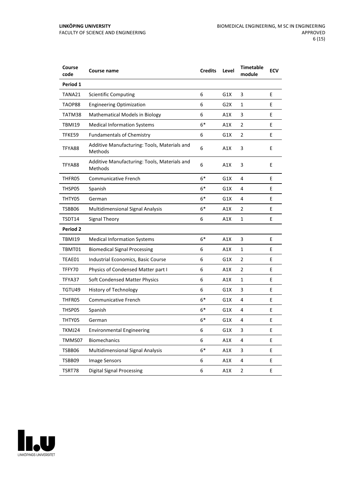| Course<br>code  | Course name                                             | <b>Credits</b> | Level | <b>Timetable</b><br>module | <b>ECV</b> |
|-----------------|---------------------------------------------------------|----------------|-------|----------------------------|------------|
| Period 1        |                                                         |                |       |                            |            |
| TANA21          | <b>Scientific Computing</b>                             | 6              | G1X   | 3                          | E          |
| TAOP88          | <b>Engineering Optimization</b>                         | 6              | G2X   | 1                          | E          |
| TATM38          | Mathematical Models in Biology                          | 6              | A1X   | 3                          | E          |
| <b>TBMI19</b>   | <b>Medical Information Systems</b>                      | $6*$           | A1X   | $\overline{2}$             | E          |
| TFKE59          | <b>Fundamentals of Chemistry</b>                        | 6              | G1X   | $\overline{2}$             | E          |
| TFYA88          | Additive Manufacturing: Tools, Materials and<br>Methods | 6              | A1X   | 3                          | E          |
| TFYA88          | Additive Manufacturing: Tools, Materials and<br>Methods | 6              | A1X   | 3                          | E          |
| THFR05          | Communicative French                                    | $6*$           | G1X   | 4                          | E          |
| THSP05          | Spanish                                                 | $6*$           | G1X   | 4                          | E          |
| THTY05          | German                                                  | $6*$           | G1X   | 4                          | E          |
| TSBB06          | <b>Multidimensional Signal Analysis</b>                 | $6*$           | A1X   | 2                          | E          |
| TSDT14          | <b>Signal Theory</b>                                    | 6              | A1X   | 1                          | E          |
| <b>Period 2</b> |                                                         |                |       |                            |            |
| <b>TBMI19</b>   | <b>Medical Information Systems</b>                      | $6*$           | A1X   | 3                          | E          |
| TBMT01          | <b>Biomedical Signal Processing</b>                     | 6              | A1X   | 1                          | E          |
| TEAE01          | Industrial Economics, Basic Course                      | 6              | G1X   | $\overline{2}$             | E          |
| TFFY70          | Physics of Condensed Matter part I                      | 6              | A1X   | 2                          | E          |
| TFYA37          | Soft Condensed Matter Physics                           | 6              | A1X   | 1                          | E          |
| TGTU49          | History of Technology                                   | 6              | G1X   | 3                          | E          |
| THFR05          | Communicative French                                    | $6*$           | G1X   | 4                          | E          |
| THSP05          | Spanish                                                 | 6*             | G1X   | 4                          | E          |
| THTY05          | German                                                  | $6*$           | G1X   | 4                          | E          |
| TKMJ24          | <b>Environmental Engineering</b>                        | 6              | G1X   | 3                          | Ε          |
| TMMS07          | Biomechanics                                            | 6              | A1X   | 4                          | E          |
| TSBB06          | <b>Multidimensional Signal Analysis</b>                 | $6*$           | A1X   | 3                          | E          |
| TSBB09          | <b>Image Sensors</b>                                    | 6              | A1X   | 4                          | E          |
| TSRT78          | <b>Digital Signal Processing</b>                        | 6              | A1X   | $\overline{2}$             | E          |

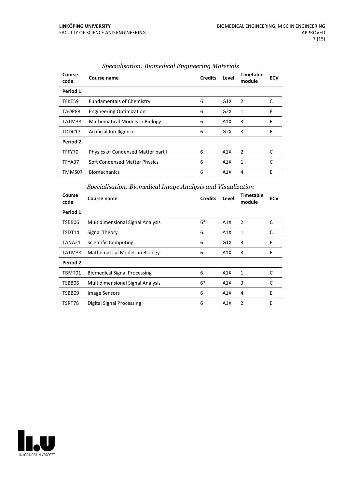| Course<br>code | Course name                           | <b>Credits</b> | Level            | <b>Timetable</b><br>module | <b>ECV</b> |
|----------------|---------------------------------------|----------------|------------------|----------------------------|------------|
| Period 1       |                                       |                |                  |                            |            |
| TFKE59         | <b>Fundamentals of Chemistry</b>      | 6              | G1X              | 2                          |            |
| TAOP88         | <b>Engineering Optimization</b>       | 6              | G2X              | 1                          | E          |
| TATM38         | <b>Mathematical Models in Biology</b> | 6              | A1X              | 3                          | E          |
| TDDC17         | Artificial Intelligence               | 6              | G <sub>2</sub> X | 3                          | Е          |
| Period 2       |                                       |                |                  |                            |            |
| TFFY70         | Physics of Condensed Matter part I    | 6              | A1X              | 2                          | C          |
| TFYA37         | Soft Condensed Matter Physics         | 6              | A1X              | 1                          |            |
| TMMS07         | <b>Biomechanics</b>                   | 6              | A1X              | 4                          | Е          |

#### *Specialisation: Biomedical Engineering Materials*

#### *Specialisation: Biomedical Image Analysis and Visualization*

| Period 1<br>$6*$<br>TSBB06<br>A1X<br>$\overline{2}$<br>C<br><b>Multidimensional Signal Analysis</b><br>6<br>A1X<br>1<br>TSDT14<br>Signal Theory<br>C<br>E<br>3<br>6<br>G1X<br>TANA21<br><b>Scientific Computing</b><br>E<br>3<br><b>Mathematical Models in Biology</b><br>TATM38<br>6<br>A1X<br>Period 2<br>TBMT01<br>6<br><b>Biomedical Signal Processing</b><br>A1X<br>1<br>C<br>$6*$<br><b>Multidimensional Signal Analysis</b><br>3<br>TSBB06<br>A1X<br>C |
|---------------------------------------------------------------------------------------------------------------------------------------------------------------------------------------------------------------------------------------------------------------------------------------------------------------------------------------------------------------------------------------------------------------------------------------------------------------|
|                                                                                                                                                                                                                                                                                                                                                                                                                                                               |
|                                                                                                                                                                                                                                                                                                                                                                                                                                                               |
|                                                                                                                                                                                                                                                                                                                                                                                                                                                               |
|                                                                                                                                                                                                                                                                                                                                                                                                                                                               |
|                                                                                                                                                                                                                                                                                                                                                                                                                                                               |
|                                                                                                                                                                                                                                                                                                                                                                                                                                                               |
|                                                                                                                                                                                                                                                                                                                                                                                                                                                               |
|                                                                                                                                                                                                                                                                                                                                                                                                                                                               |
| E<br>6<br>4<br>A1X<br>TSBB09<br><b>Image Sensors</b>                                                                                                                                                                                                                                                                                                                                                                                                          |
| E<br>2<br>TSRT78<br>Digital Signal Processing<br>6<br>A1X                                                                                                                                                                                                                                                                                                                                                                                                     |

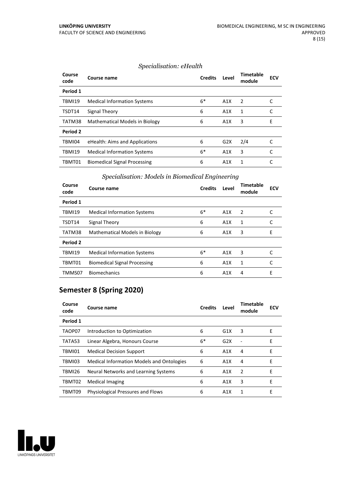#### *Specialisation: eHealth*

| Course<br>code | Course name                           | <b>Credits</b> | Level            | <b>Timetable</b><br>module | <b>ECV</b> |
|----------------|---------------------------------------|----------------|------------------|----------------------------|------------|
| Period 1       |                                       |                |                  |                            |            |
| <b>TBMI19</b>  | <b>Medical Information Systems</b>    | $6*$           | A1X              | 2                          |            |
| TSDT14         | Signal Theory                         | 6              | A1X              | 1                          | C          |
| TATM38         | <b>Mathematical Models in Biology</b> | 6              | A1X              | 3                          | Е          |
| Period 2       |                                       |                |                  |                            |            |
| TBMI04         | eHealth: Aims and Applications        | 6              | G <sub>2</sub> X | 2/4                        |            |
| <b>TBMI19</b>  | <b>Medical Information Systems</b>    | $6*$           | A1X              | 3                          |            |
| TBMT01         | <b>Biomedical Signal Processing</b>   | 6              | A <sub>1</sub> X | 1                          |            |

#### *Specialisation: Models in Biomedical Engineering*

| Course<br>code | Course name                           | <b>Credits</b> | Level | Timetable<br>module | <b>ECV</b> |
|----------------|---------------------------------------|----------------|-------|---------------------|------------|
| Period 1       |                                       |                |       |                     |            |
| <b>TBMI19</b>  | <b>Medical Information Systems</b>    | $6*$           | A1X   | 2                   |            |
| TSDT14         | Signal Theory                         | 6              | A1X   | 1                   |            |
| TATM38         | <b>Mathematical Models in Biology</b> | 6              | A1X   | 3                   | E          |
| Period 2       |                                       |                |       |                     |            |
| <b>TBMI19</b>  | <b>Medical Information Systems</b>    | $6*$           | A1X   | 3                   |            |
| TBMT01         | <b>Biomedical Signal Processing</b>   | 6              | A1X   | 1                   | C          |
| TMMS07         | <b>Biomechanics</b>                   | 6              | A1X   | 4                   | E          |

# **Semester 8 (Spring 2020)**

| Course<br>code | Course name                                      | <b>Credits</b> | Level            | <b>Timetable</b><br>module | <b>ECV</b> |
|----------------|--------------------------------------------------|----------------|------------------|----------------------------|------------|
| Period 1       |                                                  |                |                  |                            |            |
| TAOP07         | Introduction to Optimization                     | 6              | G1X              | 3                          | Е          |
| TATA53         | Linear Algebra, Honours Course                   | $6*$           | G2X              |                            | Е          |
| TBMI01         | <b>Medical Decision Support</b>                  | 6              | A1X              | 4                          | Е          |
| TBMI03         | <b>Medical Information Models and Ontologies</b> | 6              | A1X              | 4                          | Е          |
| TBMI26         | Neural Networks and Learning Systems             | 6              | A1X              | 2                          | Е          |
| TBMT02         | <b>Medical Imaging</b>                           | 6              | A <sub>1</sub> X | 3                          | Е          |
| TBMT09         | <b>Physiological Pressures and Flows</b>         | 6              | A1X              | 1                          | Е          |

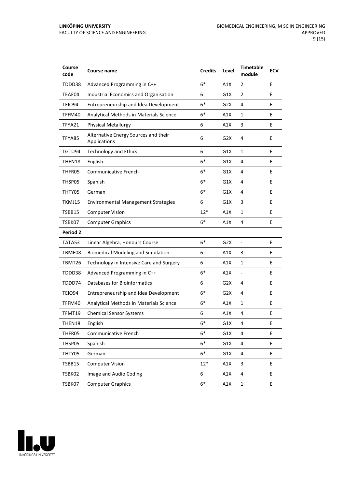| Course<br>code  | Course name                                          | <b>Credits</b> | Level            | <b>Timetable</b><br>module | <b>ECV</b> |
|-----------------|------------------------------------------------------|----------------|------------------|----------------------------|------------|
| TDDD38          | Advanced Programming in C++                          | $6*$           | A1X              | $\overline{2}$             | E          |
| TEAE04          | Industrial Economics and Organisation                | 6              | G1X              | $\overline{2}$             | Е          |
| TEIO94          | Entrepreneurship and Idea Development                | $6*$           | G2X              | 4                          | E          |
| TFFM40          | Analytical Methods in Materials Science              | 6*             | A1X              | 1                          | E          |
| TFYA21          | <b>Physical Metallurgy</b>                           | 6              | A1X              | 3                          | E          |
| TFYA85          | Alternative Energy Sources and their<br>Applications | 6              | G2X              | 4                          | E          |
| TGTU94          | <b>Technology and Ethics</b>                         | 6              | G1X              | $\mathbf{1}$               | E          |
| THEN18          | English                                              | $6*$           | G1X              | 4                          | E          |
| THFR05          | Communicative French                                 | $6*$           | G1X              | 4                          | E          |
| THSP05          | Spanish                                              | $6*$           | G1X              | 4                          | E          |
| THTY05          | German                                               | $6*$           | G1X              | 4                          | Е          |
| TKMJ15          | <b>Environmental Management Strategies</b>           | 6              | G1X              | 3                          | E          |
| TSBB15          | <b>Computer Vision</b>                               | $12*$          | A1X              | 1                          | E          |
| TSBK07          | <b>Computer Graphics</b>                             | $6*$           | A1X              | 4                          | E          |
| <b>Period 2</b> |                                                      |                |                  |                            |            |
| TATA53          | Linear Algebra, Honours Course                       | $6*$           | G <sub>2</sub> X | $\blacksquare$             | E          |
| TBME08          | <b>Biomedical Modeling and Simulation</b>            | 6              | A1X              | 3                          | E          |
| TBMT26          | Technology in Intensive Care and Surgery             | 6              | A1X              | $\mathbf{1}$               | E          |
| TDDD38          | Advanced Programming in C++                          | $6*$           | A1X              | $\frac{1}{2}$              | E          |
| TDDD74          | <b>Databases for Bioinformatics</b>                  | 6              | G2X              | 4                          | E          |
| TEIO94          | Entrepreneurship and Idea Development                | $6*$           | G <sub>2</sub> X | 4                          | E          |
| TFFM40          | Analytical Methods in Materials Science              | $6*$           | A1X              | $\mathbf{1}$               | E          |
| TFMT19          | <b>Chemical Sensor Systems</b>                       | 6              | A1X              | 4                          | E          |
| THEN18          | English                                              | 6*             | G1X              | 4                          | Ε          |
| THFR05          | Communicative French                                 | $6*$           | G1X              | 4                          | E          |
| THSP05          | Spanish                                              | $6*$           | G1X              | 4                          | E          |
| THTY05          | German                                               | $6*$           | G1X              | 4                          | E          |
| TSBB15          | <b>Computer Vision</b>                               | $12*$          | A1X              | 3                          | E          |
| TSBK02          | Image and Audio Coding                               | 6              | A1X              | 4                          | E          |
| TSBK07          | <b>Computer Graphics</b>                             | $6*$           | A1X              | $\mathbf 1$                | E          |

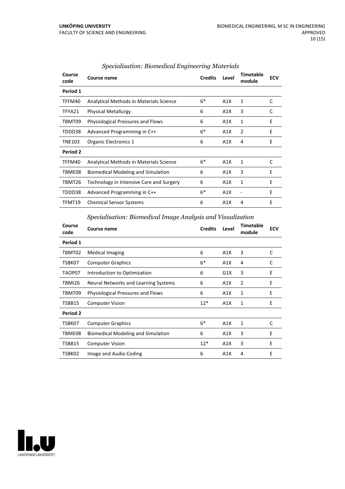| Course<br>code | Course name                               | <b>Credits</b> | Level | <b>Timetable</b><br>module | <b>ECV</b> |
|----------------|-------------------------------------------|----------------|-------|----------------------------|------------|
| Period 1       |                                           |                |       |                            |            |
| TFFM40         | Analytical Methods in Materials Science   | $6*$           | A1X   | 1                          | C          |
| TFYA21         | <b>Physical Metallurgy</b>                | 6              | A1X   | 3                          | C          |
| TBMT09         | <b>Physiological Pressures and Flows</b>  | 6              | A1X   | $\mathbf{1}$               | E          |
| TDDD38         | Advanced Programming in C++               | $6*$           | A1X   | 2                          | E          |
| <b>TNE103</b>  | Organic Electronics 1                     | 6              | A1X   | 4                          | E          |
| Period 2       |                                           |                |       |                            |            |
| TFFM40         | Analytical Methods in Materials Science   | $6*$           | A1X   | 1                          | C          |
| TBME08         | <b>Biomedical Modeling and Simulation</b> | 6              | A1X   | 3                          | Е          |
| TBMT26         | Technology in Intensive Care and Surgery  | 6              | A1X   | 1                          | E          |
| TDDD38         | Advanced Programming in C++               | $6*$           | A1X   |                            | E          |
| TFMT19         | <b>Chemical Sensor Systems</b>            | 6              | A1X   | 4                          | Е          |

#### *Specialisation: Biomedical Engineering Materials*

*Specialisation: Biomedical Image Analysis and Visualization*

| Course<br>code  | <b>Course name</b>                        | <b>Credits</b> | Level | Timetable<br>module | <b>ECV</b> |
|-----------------|-------------------------------------------|----------------|-------|---------------------|------------|
| Period 1        |                                           |                |       |                     |            |
| TBMT02          | <b>Medical Imaging</b>                    | 6              | A1X   | 3                   | C          |
| TSBK07          | <b>Computer Graphics</b>                  | $6*$           | A1X   | 4                   | C          |
| TAOP07          | Introduction to Optimization              | 6              | G1X   | 3                   | E          |
| TBMI26          | Neural Networks and Learning Systems      | 6              | A1X   | 2                   | E          |
| TBMT09          | <b>Physiological Pressures and Flows</b>  | 6              | A1X   | 1                   | E          |
| TSBB15          | <b>Computer Vision</b>                    | $12*$          | A1X   | 1                   | F          |
| <b>Period 2</b> |                                           |                |       |                     |            |
| TSBK07          | <b>Computer Graphics</b>                  | $6*$           | A1X   | $\mathbf{1}$        | C          |
| TBME08          | <b>Biomedical Modeling and Simulation</b> | 6              | A1X   | 3                   | E          |
| TSBB15          | <b>Computer Vision</b>                    | $12*$          | A1X   | 3                   | E          |
| TSBK02          | Image and Audio Coding                    | 6              | A1X   | 4                   | E          |

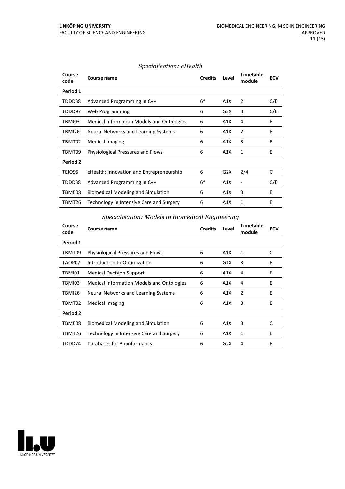#### *Specialisation: eHealth*

| Course<br>code | Course name                                      | <b>Credits</b> | Level | Timetable<br>module | <b>ECV</b> |
|----------------|--------------------------------------------------|----------------|-------|---------------------|------------|
| Period 1       |                                                  |                |       |                     |            |
| TDDD38         | Advanced Programming in C++                      | $6*$           | A1X   | 2                   | C/E        |
| TDDD97         | Web Programming                                  | 6              | G2X   | 3                   | C/E        |
| TBMI03         | <b>Medical Information Models and Ontologies</b> | 6              | A1X   | 4                   | Е          |
| TBMI26         | Neural Networks and Learning Systems             | 6              | A1X   | 2                   | E          |
| TBMT02         | Medical Imaging                                  | 6              | A1X   | 3                   | E          |
| TBMT09         | <b>Physiological Pressures and Flows</b>         | 6              | A1X   | 1                   | E          |
| Period 2       |                                                  |                |       |                     |            |
| TEIO95         | eHealth: Innovation and Entrepreneurship         | 6              | G2X   | 2/4                 | С          |
| TDDD38         | Advanced Programming in C++                      | $6*$           | A1X   |                     | C/E        |
| TBME08         | <b>Biomedical Modeling and Simulation</b>        | 6              | A1X   | 3                   | E          |
| TBMT26         | Technology in Intensive Care and Surgery         | 6              | A1X   | 1                   | E          |

*Specialisation: Models in Biomedical Engineering*

| Course<br>code | Course name                                      | <b>Credits</b> | Level            | <b>Timetable</b><br>module | <b>ECV</b> |
|----------------|--------------------------------------------------|----------------|------------------|----------------------------|------------|
| Period 1       |                                                  |                |                  |                            |            |
| TBMT09         | Physiological Pressures and Flows                | 6              | A1X              | 1                          | C          |
| TAOP07         | Introduction to Optimization                     | 6              | G1X              | 3                          | E          |
| TBMI01         | <b>Medical Decision Support</b>                  | 6              | A1X              | 4                          | E          |
| TBMI03         | <b>Medical Information Models and Ontologies</b> | 6              | A1X              | 4                          | E          |
| TBMI26         | Neural Networks and Learning Systems             | 6              | A1X              | $\overline{2}$             | E          |
| TBMT02         | Medical Imaging                                  | 6              | A1X              | 3                          | E          |
| Period 2       |                                                  |                |                  |                            |            |
| TBME08         | <b>Biomedical Modeling and Simulation</b>        | 6              | A1X              | 3                          | C          |
| TBMT26         | Technology in Intensive Care and Surgery         | 6              | A1X              | 1                          | Е          |
| TDDD74         | Databases for Bioinformatics                     | 6              | G <sub>2</sub> X | 4                          | E          |

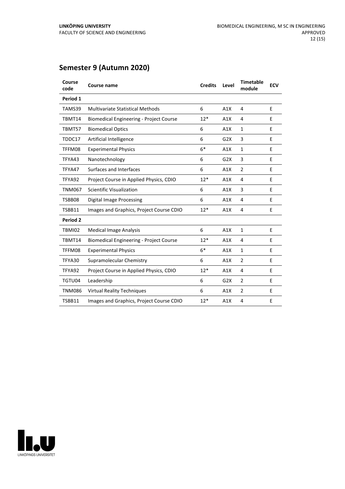# **Semester 9 (Autumn 2020)**

| Course<br>code | <b>Course name</b>                             | <b>Credits</b> | Level | <b>Timetable</b><br>module | <b>ECV</b> |
|----------------|------------------------------------------------|----------------|-------|----------------------------|------------|
| Period 1       |                                                |                |       |                            |            |
| TAMS39         | <b>Multivariate Statistical Methods</b>        | 6              | A1X   | 4                          | Е          |
| TBMT14         | <b>Biomedical Engineering - Project Course</b> | $12*$          | A1X   | 4                          | Е          |
| TBMT57         | <b>Biomedical Optics</b>                       | 6              | A1X   | $\mathbf{1}$               | E          |
| TDDC17         | Artificial Intelligence                        | 6              | G2X   | 3                          | E          |
| TFFM08         | <b>Experimental Physics</b>                    | $6*$           | A1X   | $\mathbf{1}$               | E          |
| TFYA43         | Nanotechnology                                 | 6              | G2X   | 3                          | E          |
| TFYA47         | Surfaces and Interfaces                        | 6              | A1X   | $\overline{2}$             | Е          |
| TFYA92         | Project Course in Applied Physics, CDIO        | $12*$          | A1X   | 4                          | E          |
| <b>TNM067</b>  | Scientific Visualization                       | 6              | A1X   | 3                          | E          |
| TSBB08         | <b>Digital Image Processing</b>                | 6              | A1X   | 4                          | E          |
| TSBB11         | Images and Graphics, Project Course CDIO       | $12*$          | A1X   | 4                          | Е          |
| Period 2       |                                                |                |       |                            |            |
| TBMI02         | <b>Medical Image Analysis</b>                  | 6              | A1X   | $\mathbf{1}$               | E          |
| TBMT14         | <b>Biomedical Engineering - Project Course</b> | $12*$          | A1X   | 4                          | E          |
| TFFM08         | <b>Experimental Physics</b>                    | $6*$           | A1X   | $\mathbf{1}$               | E          |
| TFYA30         | Supramolecular Chemistry                       | 6              | A1X   | $\overline{2}$             | E          |
| TFYA92         | Project Course in Applied Physics, CDIO        | $12*$          | A1X   | 4                          | Е          |
| TGTU04         | Leadership                                     | 6              | G2X   | $\overline{2}$             | E          |
| <b>TNM086</b>  | <b>Virtual Reality Techniques</b>              | 6              | A1X   | $\overline{2}$             | Е          |
| TSBB11         | Images and Graphics, Project Course CDIO       | $12*$          | A1X   | 4                          | E          |

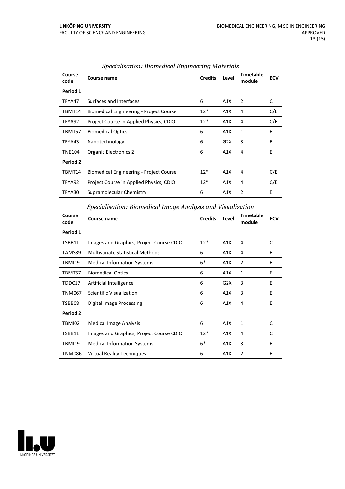| Course<br>code | Course name                                    | <b>Credits</b> | Level | <b>Timetable</b><br>module | <b>ECV</b> |
|----------------|------------------------------------------------|----------------|-------|----------------------------|------------|
| Period 1       |                                                |                |       |                            |            |
| TFYA47         | Surfaces and Interfaces                        | 6              | A1X   | $\overline{2}$             | C          |
| TBMT14         | <b>Biomedical Engineering - Project Course</b> | $12*$          | A1X   | 4                          | C/E        |
| TFYA92         | Project Course in Applied Physics, CDIO        | $12*$          | A1X   | 4                          | C/E        |
| TBMT57         | <b>Biomedical Optics</b>                       | 6              | A1X   | 1                          | E          |
| TFYA43         | Nanotechnology                                 | 6              | G2X   | 3                          | E          |
| <b>TNE104</b>  | Organic Electronics 2                          | 6              | A1X   | 4                          | E          |
| Period 2       |                                                |                |       |                            |            |
| TBMT14         | <b>Biomedical Engineering - Project Course</b> | $12*$          | A1X   | 4                          | C/E        |
| TFYA92         | Project Course in Applied Physics, CDIO        | $12*$          | A1X   | 4                          | C/E        |
| TFYA30         | Supramolecular Chemistry                       | 6              | A1X   | $\overline{2}$             | E          |

#### *Specialisation: Biomedical Engineering Materials*

#### *Specialisation: Biomedical Image Analysis and Visualization*

| Course<br>code | Course name                              | <b>Credits</b> | Level | <b>Timetable</b><br>module | <b>ECV</b> |
|----------------|------------------------------------------|----------------|-------|----------------------------|------------|
| Period 1       |                                          |                |       |                            |            |
| TSBB11         | Images and Graphics, Project Course CDIO | $12*$          | A1X   | 4                          | C          |
| TAMS39         | Multivariate Statistical Methods         | 6              | A1X   | 4                          | E          |
| TBMI19         | <b>Medical Information Systems</b>       | $6*$           | A1X   | 2                          | E          |
| TBMT57         | <b>Biomedical Optics</b>                 | 6              | A1X   | 1                          | E          |
| TDDC17         | Artificial Intelligence                  | 6              | G2X   | 3                          | E          |
| <b>TNM067</b>  | Scientific Visualization                 | 6              | A1X   | 3                          | E          |
| TSBB08         | <b>Digital Image Processing</b>          | 6              | A1X   | 4                          | E          |
| Period 2       |                                          |                |       |                            |            |
| TBMI02         | <b>Medical Image Analysis</b>            | 6              | A1X   | 1                          | C          |
| TSBB11         | Images and Graphics, Project Course CDIO | $12*$          | A1X   | 4                          | C          |
| TBMI19         | <b>Medical Information Systems</b>       | $6*$           | A1X   | 3                          | E          |
| <b>TNM086</b>  | <b>Virtual Reality Techniques</b>        | 6              | A1X   | 2                          | E          |

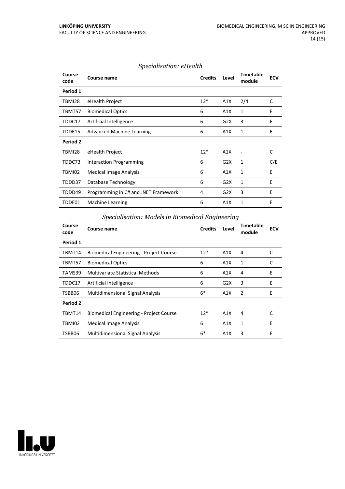| Specialisation: eHealth |  |
|-------------------------|--|
|-------------------------|--|

| Course<br>code | <b>Course name</b>                   | <b>Credits</b> | Level | <b>Timetable</b><br>module | <b>ECV</b> |
|----------------|--------------------------------------|----------------|-------|----------------------------|------------|
| Period 1       |                                      |                |       |                            |            |
| TBMI28         | eHealth Project                      | $12*$          | A1X   | 2/4                        | C          |
| TBMT57         | <b>Biomedical Optics</b>             | 6              | A1X   | 1                          | E          |
| TDDC17         | Artificial Intelligence              | 6              | G2X   | 3                          | E          |
| TDDE15         | Advanced Machine Learning            | 6              | A1X   | 1                          | E          |
| Period 2       |                                      |                |       |                            |            |
| TBMI28         | eHealth Project                      | $12*$          | A1X   |                            | C          |
| TDDC73         | Interaction Programming              | 6              | G2X   | 1                          | C/E        |
| TBMI02         | <b>Medical Image Analysis</b>        | 6              | A1X   | 1                          | E          |
| TDDD37         | Database Technology                  | 6              | G2X   | 1                          | E          |
| TDDD49         | Programming in C# and .NET Framework | 4              | G2X   | 3                          | E          |
| TDDE01         | Machine Learning                     | 6              | A1X   | 1                          | E          |
|                |                                      |                |       |                            |            |

*Specialisation: Models in Biomedical Engineering*

| Course<br>code | Course name                                    | <b>Credits</b> | Level | <b>Timetable</b><br>module | <b>ECV</b> |
|----------------|------------------------------------------------|----------------|-------|----------------------------|------------|
| Period 1       |                                                |                |       |                            |            |
| TBMT14         | <b>Biomedical Engineering - Project Course</b> | $12*$          | A1X   | 4                          | C          |
| TBMT57         | <b>Biomedical Optics</b>                       | 6              | A1X   | 1                          | C          |
| TAMS39         | <b>Multivariate Statistical Methods</b>        | 6              | A1X   | 4                          | E          |
| TDDC17         | Artificial Intelligence                        | 6              | G2X   | 3                          | E          |
| TSBB06         | <b>Multidimensional Signal Analysis</b>        | $6*$           | A1X   | 2                          | E          |
| Period 2       |                                                |                |       |                            |            |
| TBMT14         | <b>Biomedical Engineering - Project Course</b> | $12*$          | A1X   | 4                          | C          |
| TBMI02         | Medical Image Analysis                         | 6              | A1X   | 1                          | E          |
| TSBB06         | <b>Multidimensional Signal Analysis</b>        | $6*$           | A1X   | 3                          | E          |